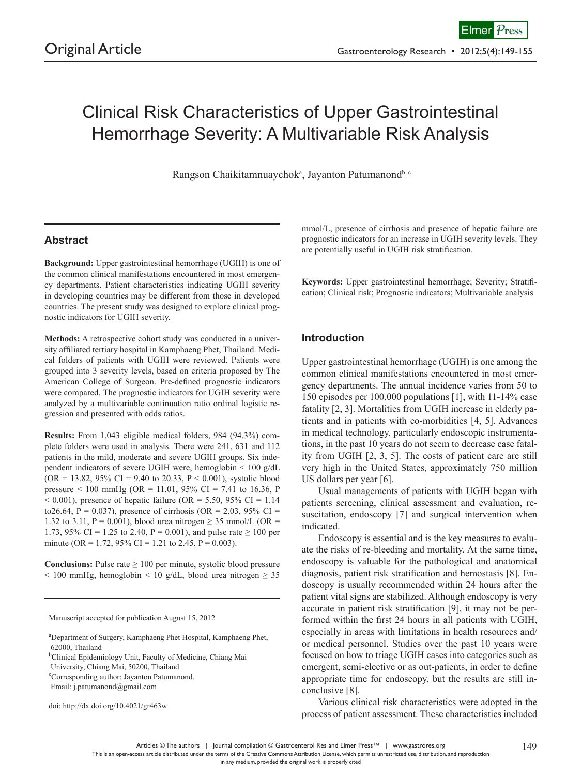# Clinical Risk Characteristics of Upper Gastrointestinal Hemorrhage Severity: A Multivariable Risk Analysis

Rangson Chaikitamnuaychok<sup>a</sup>, Jayanton Patumanond<sup>b, c</sup>

# **Abstract**

**Background:** Upper gastrointestinal hemorrhage (UGIH) is one of the common clinical manifestations encountered in most emergency departments. Patient characteristics indicating UGIH severity in developing countries may be different from those in developed countries. The present study was designed to explore clinical prognostic indicators for UGIH severity.

**Methods:** A retrospective cohort study was conducted in a university affiliated tertiary hospital in Kamphaeng Phet, Thailand. Medical folders of patients with UGIH were reviewed. Patients were grouped into 3 severity levels, based on criteria proposed by The American College of Surgeon. Pre-defined prognostic indicators were compared. The prognostic indicators for UGIH severity were analyzed by a multivariable continuation ratio ordinal logistic regression and presented with odds ratios.

**Results:** From 1,043 eligible medical folders, 984 (94.3%) complete folders were used in analysis. There were 241, 631 and 112 patients in the mild, moderate and severe UGIH groups. Six independent indicators of severe UGIH were, hemoglobin < 100 g/dL  $(OR = 13.82, 95\% \text{ CI} = 9.40 \text{ to } 20.33, P < 0.001)$ , systolic blood pressure < 100 mmHg (OR = 11.01, 95% CI = 7.41 to 16.36, P  $< 0.001$ ), presence of hepatic failure (OR = 5.50, 95% CI = 1.14 to26.64, P = 0.037), presence of cirrhosis (OR = 2.03, 95% CI = 1.32 to 3.11, P = 0.001), blood urea nitrogen  $\geq$  35 mmol/L (OR = 1.73, 95% CI = 1.25 to 2.40, P = 0.001), and pulse rate  $\geq 100$  per minute (OR = 1.72, 95% CI = 1.21 to 2.45, P = 0.003).

**Conclusions:** Pulse rate  $\geq 100$  per minute, systolic blood pressure  $\leq$  100 mmHg, hemoglobin  $\leq$  10 g/dL, blood urea nitrogen  $\geq$  35

Manuscript accepted for publication August 15, 2012

University, Chiang Mai, 50200, Thailand

c Corresponding author: Jayanton Patumanond.

doi: http://dx.doi.org/10.4021/gr463w

mmol/L, presence of cirrhosis and presence of hepatic failure are prognostic indicators for an increase in UGIH severity levels. They are potentially useful in UGIH risk stratification.

**Keywords:** Upper gastrointestinal hemorrhage; Severity; Stratification; Clinical risk; Prognostic indicators; Multivariable analysis

#### **Introduction**

Upper gastrointestinal hemorrhage (UGIH) is one among the common clinical manifestations encountered in most emergency departments. The annual incidence varies from 50 to 150 episodes per 100,000 populations [1], with 11-14% case fatality [2, 3]. Mortalities from UGIH increase in elderly patients and in patients with co-morbidities [4, 5]. Advances in medical technology, particularly endoscopic instrumentations, in the past 10 years do not seem to decrease case fatality from UGIH [2, 3, 5]. The costs of patient care are still very high in the United States, approximately 750 million US dollars per year [6].

Usual managements of patients with UGIH began with patients screening, clinical assessment and evaluation, resuscitation, endoscopy [7] and surgical intervention when indicated.

Endoscopy is essential and is the key measures to evaluate the risks of re-bleeding and mortality. At the same time, endoscopy is valuable for the pathological and anatomical diagnosis, patient risk stratification and hemostasis [8]. Endoscopy is usually recommended within 24 hours after the patient vital signs are stabilized. Although endoscopy is very accurate in patient risk stratification [9], it may not be performed within the first 24 hours in all patients with UGIH, especially in areas with limitations in health resources and/ or medical personnel. Studies over the past 10 years were focused on how to triage UGIH cases into categories such as emergent, semi-elective or as out-patients, in order to define appropriate time for endoscopy, but the results are still inconclusive [8].

Various clinical risk characteristics were adopted in the process of patient assessment. These characteristics included

in any medium, provided the original work is properly cited

a Department of Surgery, Kamphaeng Phet Hospital, Kamphaeng Phet, 62000, Thailand

<sup>&</sup>lt;sup>b</sup>Clinical Epidemiology Unit, Faculty of Medicine, Chiang Mai

Email: j.patumanond@gmail.com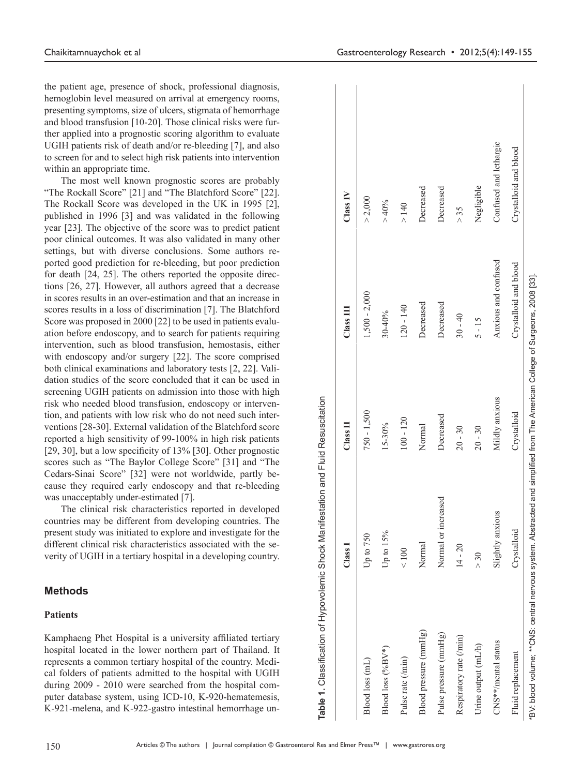the patient age, presence of shock, professional diagnosis, hemoglobin level measured on arrival at emergency rooms, presenting symptoms, size of ulcers, stigmata of hemorrhage and blood transfusion [10-20]. Those clinical risks were further applied into a prognostic scoring algorithm to evaluate UGIH patients risk of death and/or re-bleeding [7], and also to screen for and to select high risk patients into intervention within an appropriate time.

The most well known prognostic scores are probably "The Rockall Score" [21] and "The Blatchford Score" [22]. The Rockall Score was developed in the UK in 1995 [2], published in 1996 [3] and was validated in the following year [23]. The objective of the score was to predict patient poor clinical outcomes. It was also validated in many other settings, but with diverse conclusions. Some authors reported good prediction for re-bleeding, but poor prediction for death [24, 25]. The others reported the opposite directions [26, 27]. However, all authors agreed that a decrease in scores results in an over-estimation and that an increase in scores results in a loss of discrimination [7]. The Blatchford Score was proposed in 2000 [22] to be used in patients evaluation before endoscopy, and to search for patients requiring intervention, such as blood transfusion, hemostasis, either with endoscopy and/or surgery [22]. The score comprised both clinical examinations and laboratory tests [2, 22]. Validation studies of the score concluded that it can be used in screening UGIH patients on admission into those with high risk who needed blood transfusion, endoscopy or intervention, and patients with low risk who do not need such interventions [28-30]. External validation of the Blatchford score reported a high sensitivity of 99-100% in high risk patients [29, 30], but a low specificity of 13% [30]. Other prognostic scores such as "The Baylor College Score" [31] and "The Cedars-Sinai Score" [32] were not worldwide, partly because they required early endoscopy and that re-bleeding was unacceptably under-estimated [7].

The clinical risk characteristics reported in developed countries may be different from developing countries. The present study was initiated to explore and investigate for the different clinical risk characteristics associated with the severity of UGIH in a tertiary hospital in a developing country.

## **Methods**

## **Patients**

Kamphaeng Phet Hospital is a university affiliated tertiary hospital located in the lower northern part of Thailand. It represents a common tertiary hospital of the country. Medical folders of patients admitted to the hospital with UGIH during 2009 - 2010 were searched from the hospital computer database system, using ICD-10, K-920-hematemesis, K-921-melena, and K-922-gastro intestinal hemorrhage un-

| Table 1. Classification of Hypovolemic Shock Manifestation and Fluid Resuscitation                                           |                     |                |                                                   |                        |
|------------------------------------------------------------------------------------------------------------------------------|---------------------|----------------|---------------------------------------------------|------------------------|
|                                                                                                                              | Class               | $\prod$ ass    | $\overline{\text{Class}}$ $\overline{\text{III}}$ | Class IV               |
| Blood loss (mL)                                                                                                              | Up to 750           | $750 - 1,500$  | $1,500 - 2,000$                                   | > 2,000                |
| Blood loss (%BV*)                                                                                                            | Up to 15%           | 15-30%         | 30-40%                                            | > 40%                  |
| Pulse rate (/min)                                                                                                            | < 100               | $100 - 120$    | $120 - 140$                                       | $>140$                 |
| Blood pressure (mmHg)                                                                                                        | Normal              | Normal         | Decreased                                         | Decreased              |
| Pulse pressure (mmHg)                                                                                                        | Normal or increased | Decreased      | Decreased                                         | Decreased              |
| Respiratory rate (/min)                                                                                                      | $14 - 20$           | $20 - 30$      | $30 - 40$                                         | > 35                   |
| Urine output (mL/h)                                                                                                          | > 30                | $20 - 30$      | $5 - 15$                                          | Negligible             |
| CNS**/mental status                                                                                                          | Slightly anxious    | Mildly anxious | Anxious and confused                              | Confused and lethargic |
| Fluid replacement                                                                                                            | Crystalloid         | Crystalloid    | Crystalloid and blood                             | Crystalloid and blood  |
| "BV: blood volume; **CNS: central nervous system. Abstracted and simplified from The American College of Surgeons, 2008 [33] |                     |                |                                                   |                        |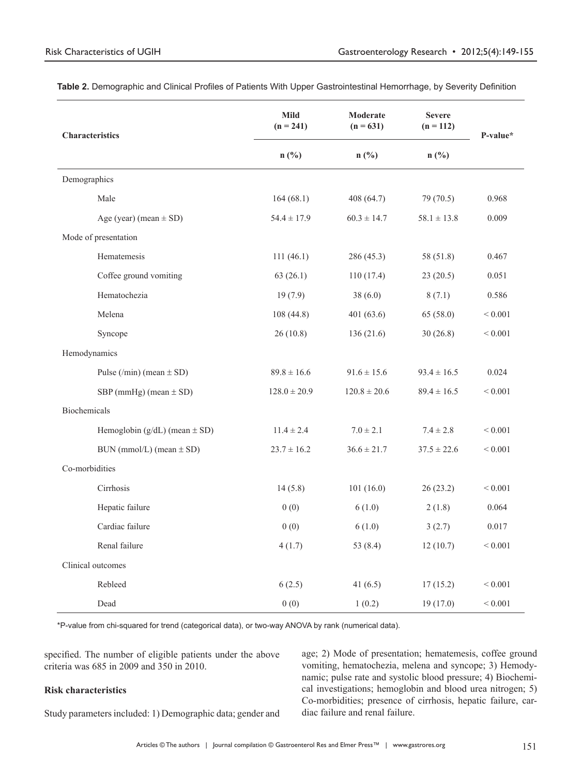| <b>Characteristics</b>              | <b>Mild</b><br>$(n = 241)$ | Moderate<br>$(n = 631)$ | <b>Severe</b><br>$(n = 112)$ | P-value*     |
|-------------------------------------|----------------------------|-------------------------|------------------------------|--------------|
|                                     | $n$ (%)<br>n(%)            | $n(^{0}/_{0})$          |                              |              |
| Demographics                        |                            |                         |                              |              |
| Male                                | 164(68.1)                  | 408 (64.7)              | 79 (70.5)                    | 0.968        |
| Age (year) (mean $\pm$ SD)          | $54.4 \pm 17.9$            | $60.3 \pm 14.7$         | $58.1 \pm 13.8$              | 0.009        |
| Mode of presentation                |                            |                         |                              |              |
| Hematemesis                         | 111(46.1)                  | 286 (45.3)              | 58 (51.8)                    | 0.467        |
| Coffee ground vomiting              | 63(26.1)                   | 110(17.4)               | 23(20.5)                     | 0.051        |
| Hematochezia                        | 19(7.9)                    | 38(6.0)                 | 8(7.1)                       | 0.586        |
| Melena                              | 108(44.8)                  | 401(63.6)               | 65(58.0)                     | < 0.001      |
| Syncope                             | 26(10.8)                   | 136(21.6)               | 30(26.8)                     | < 0.001      |
| Hemodynamics                        |                            |                         |                              |              |
| Pulse (/min) (mean $\pm$ SD)        | $89.8 \pm 16.6$            | $91.6 \pm 15.6$         | $93.4 \pm 16.5$              | 0.024        |
| $SBP$ (mmHg) (mean $\pm$ SD)        | $128.0 \pm 20.9$           | $120.8 \pm 20.6$        | $89.4 \pm 16.5$              | ${}< 0.001$  |
| Biochemicals                        |                            |                         |                              |              |
| Hemoglobin $(g/dL)$ (mean $\pm$ SD) | $11.4 \pm 2.4$             | $7.0 \pm 2.1$           | $7.4 \pm 2.8$                | ${}< 0.001$  |
| $BUN (mmol/L) (mean \pm SD)$        | $23.7 \pm 16.2$            | $36.6 \pm 21.7$         | $37.5 \pm 22.6$              | ${}< 0.001$  |
| Co-morbidities                      |                            |                         |                              |              |
| Cirrhosis                           | 14(5.8)                    | 101(16.0)               | 26(23.2)                     | ${}< 0.001$  |
| Hepatic failure                     | 0(0)                       | 6(1.0)                  | 2(1.8)                       | 0.064        |
| Cardiac failure                     | 0(0)                       | 6(1.0)                  | 3(2.7)                       | 0.017        |
| Renal failure                       | 4(1.7)                     | 53 $(8.4)$              | 12(10.7)                     | < 0.001      |
| Clinical outcomes                   |                            |                         |                              |              |
| Rebleed                             | 6(2.5)                     | 41 $(6.5)$              | 17(15.2)                     | ${}_{0.001}$ |
| Dead                                | 0(0)                       | 1(0.2)                  | 19(17.0)                     | ${}< 0.001$  |

**Table 2.** Demographic and Clinical Profiles of Patients With Upper Gastrointestinal Hemorrhage, by Severity Definition

\*P-value from chi-squared for trend (categorical data), or two-way ANOVA by rank (numerical data).

specified. The number of eligible patients under the above criteria was 685 in 2009 and 350 in 2010.

## **Risk characteristics**

Study parameters included: 1) Demographic data; gender and

age; 2) Mode of presentation; hematemesis, coffee ground vomiting, hematochezia, melena and syncope; 3) Hemodynamic; pulse rate and systolic blood pressure; 4) Biochemical investigations; hemoglobin and blood urea nitrogen; 5) Co-morbidities; presence of cirrhosis, hepatic failure, cardiac failure and renal failure.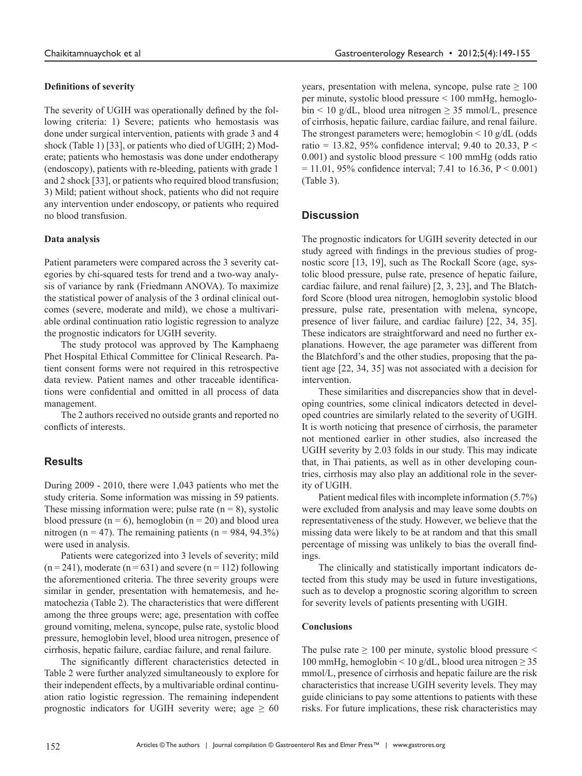## **Definitions of severity**

The severity of UGIH was operationally defined by the following criteria: 1) Severe; patients who hemostasis was done under surgical intervention, patients with grade 3 and 4 shock (Table 1) [33], or patients who died of UGIH; 2) Moderate; patients who hemostasis was done under endotherapy (endoscopy), patients with re-bleeding, patients with grade 1 and 2 shock [33], or patients who required blood transfusion; 3) Mild; patient without shock, patients who did not require any intervention under endoscopy, or patients who required no blood transfusion.

#### **Data analysis**

Patient parameters were compared across the 3 severity categories by chi-squared tests for trend and a two-way analysis of variance by rank (Friedmann ANOVA). To maximize the statistical power of analysis of the 3 ordinal clinical outcomes (severe, moderate and mild), we chose a multivariable ordinal continuation ratio logistic regression to analyze the prognostic indicators for UGIH severity.

The study protocol was approved by The Kamphaeng Phet Hospital Ethical Committee for Clinical Research. Patient consent forms were not required in this retrospective data review. Patient names and other traceable identifications were confidential and omitted in all process of data management.

The 2 authors received no outside grants and reported no conflicts of interests.

## **Results**

During 2009 - 2010, there were 1,043 patients who met the study criteria. Some information was missing in 59 patients. These missing information were; pulse rate  $(n = 8)$ , systolic blood pressure  $(n = 6)$ , hemoglobin  $(n = 20)$  and blood urea nitrogen (n = 47). The remaining patients (n = 984, 94.3%) were used in analysis.

Patients were categorized into 3 levels of severity; mild  $(n = 241)$ , moderate  $(n = 631)$  and severe  $(n = 112)$  following the aforementioned criteria. The three severity groups were similar in gender, presentation with hematemesis, and hematochezia (Table 2). The characteristics that were different among the three groups were; age, presentation with coffee ground vomiting, melena, syncope, pulse rate, systolic blood pressure, hemoglobin level, blood urea nitrogen, presence of cirrhosis, hepatic failure, cardiac failure, and renal failure.

The significantly different characteristics detected in Table 2 were further analyzed simultaneously to explore for their independent effects, by a multivariable ordinal continuation ratio logistic regression. The remaining independent prognostic indicators for UGIH severity were; age  $\geq 60$  years, presentation with melena, syncope, pulse rate  $\geq 100$ per minute, systolic blood pressure < 100 mmHg, hemoglobin < 10 g/dL, blood urea nitrogen  $\geq$  35 mmol/L, presence of cirrhosis, hepatic failure, cardiac failure, and renal failure. The strongest parameters were; hemoglobin  $\leq 10$  g/dL (odds) ratio = 13.82, 95% confidence interval; 9.40 to 20.33,  $P \le$ 0.001) and systolic blood pressure < 100 mmHg (odds ratio  $= 11.01, 95\%$  confidence interval; 7.41 to 16.36, P < 0.001) (Table 3).

## **Discussion**

The prognostic indicators for UGIH severity detected in our study agreed with findings in the previous studies of prognostic score [13, 19], such as The Rockall Score (age, systolic blood pressure, pulse rate, presence of hepatic failure, cardiac failure, and renal failure) [2, 3, 23], and The Blatchford Score (blood urea nitrogen, hemoglobin systolic blood pressure, pulse rate, presentation with melena, syncope, presence of liver failure, and cardiac failure) [22, 34, 35]. These indicators are straightforward and need no further explanations. However, the age parameter was different from the Blatchford's and the other studies, proposing that the patient age [22, 34, 35] was not associated with a decision for intervention.

These similarities and discrepancies show that in developing countries, some clinical indicators detected in developed countries are similarly related to the severity of UGIH. It is worth noticing that presence of cirrhosis, the parameter not mentioned earlier in other studies, also increased the UGIH severity by 2.03 folds in our study. This may indicate that, in Thai patients, as well as in other developing countries, cirrhosis may also play an additional role in the severity of UGIH.

Patient medical files with incomplete information (5.7%) were excluded from analysis and may leave some doubts on representativeness of the study. However, we believe that the missing data were likely to be at random and that this small percentage of missing was unlikely to bias the overall findings.

The clinically and statistically important indicators detected from this study may be used in future investigations, such as to develop a prognostic scoring algorithm to screen for severity levels of patients presenting with UGIH.

#### **Conclusions**

The pulse rate  $\geq 100$  per minute, systolic blood pressure  $\leq$ 100 mmHg, hemoglobin < 10 g/dL, blood urea nitrogen  $\geq$  35 mmol/L, presence of cirrhosis and hepatic failure are the risk characteristics that increase UGIH severity levels. They may guide clinicians to pay some attentions to patients with these risks. For future implications, these risk characteristics may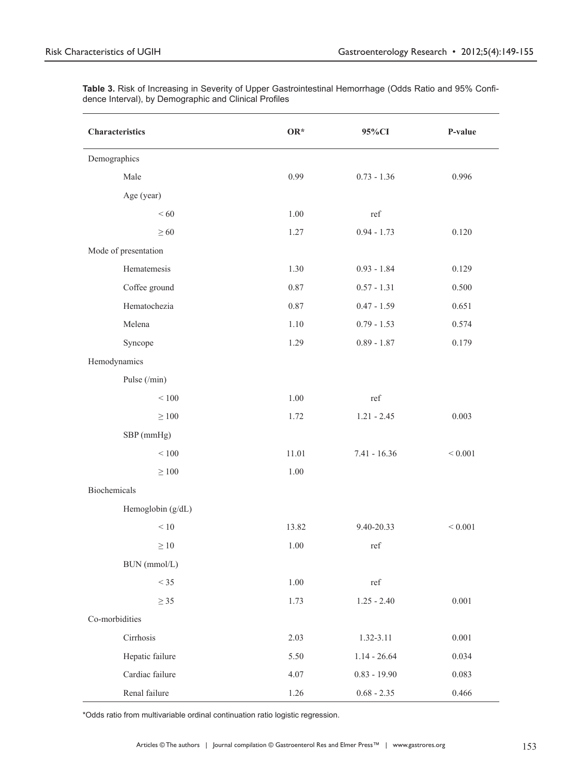| <b>Characteristics</b> | $OR*$    | 95%CI          | P-value     |
|------------------------|----------|----------------|-------------|
| Demographics           |          |                |             |
| Male                   | 0.99     | $0.73 - 1.36$  | 0.996       |
| Age (year)             |          |                |             |
| <60                    | 1.00     | ref            |             |
| $\geq 60$              | 1.27     | $0.94 - 1.73$  | 0.120       |
| Mode of presentation   |          |                |             |
| Hematemesis            | 1.30     | $0.93 - 1.84$  | 0.129       |
| Coffee ground          | 0.87     | $0.57 - 1.31$  | 0.500       |
| Hematochezia           | 0.87     | $0.47 - 1.59$  | 0.651       |
| Melena                 | 1.10     | $0.79 - 1.53$  | 0.574       |
| Syncope                | 1.29     | $0.89 - 1.87$  | 0.179       |
| Hemodynamics           |          |                |             |
| Pulse (/min)           |          |                |             |
| $<100$                 | 1.00     | ref            |             |
| $\geq 100$             | 1.72     | $1.21 - 2.45$  | 0.003       |
| SBP (mmHg)             |          |                |             |
| $\leq 100$             | 11.01    | $7.41 - 16.36$ | ${}< 0.001$ |
| $\geq 100$             | 1.00     |                |             |
| Biochemicals           |          |                |             |
| Hemoglobin (g/dL)      |          |                |             |
| $\leq 10$              | 13.82    | 9.40-20.33     | ${}< 0.001$ |
| $\geq 10$              | 1.00     | ref            |             |
| BUN (mmol/L)           |          |                |             |
| $<$ 35                 | 1.00     | ref            |             |
| $\geq$ 35              | 1.73     | $1.25 - 2.40$  | 0.001       |
| Co-morbidities         |          |                |             |
| Cirrhosis              | 2.03     | 1.32-3.11      | $0.001\,$   |
| Hepatic failure        | 5.50     | $1.14 - 26.64$ | 0.034       |
| Cardiac failure        | 4.07     | $0.83 - 19.90$ | 0.083       |
| Renal failure          | $1.26\,$ | $0.68 - 2.35$  | 0.466       |

**Table 3.** Risk of Increasing in Severity of Upper Gastrointestinal Hemorrhage (Odds Ratio and 95% Confidence Interval), by Demographic and Clinical Profiles

\*Odds ratio from multivariable ordinal continuation ratio logistic regression.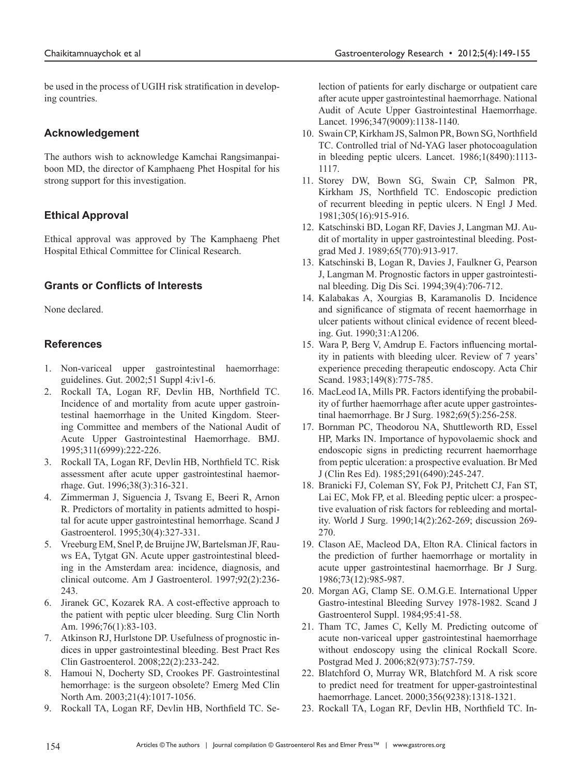be used in the process of UGIH risk stratification in developing countries.

# **Acknowledgement**

The authors wish to acknowledge Kamchai Rangsimanpaiboon MD, the director of Kamphaeng Phet Hospital for his strong support for this investigation.

# **Ethical Approval**

Ethical approval was approved by The Kamphaeng Phet Hospital Ethical Committee for Clinical Research.

# **Grants or Conflicts of Interests**

None declared.

# **References**

- 1. Non-variceal upper gastrointestinal haemorrhage: guidelines. Gut. 2002;51 Suppl 4:iv1-6.
- 2. Rockall TA, Logan RF, Devlin HB, Northfield TC. Incidence of and mortality from acute upper gastrointestinal haemorrhage in the United Kingdom. Steering Committee and members of the National Audit of Acute Upper Gastrointestinal Haemorrhage. BMJ. 1995;311(6999):222-226.
- 3. Rockall TA, Logan RF, Devlin HB, Northfield TC. Risk assessment after acute upper gastrointestinal haemorrhage. Gut. 1996;38(3):316-321.
- 4. Zimmerman J, Siguencia J, Tsvang E, Beeri R, Arnon R. Predictors of mortality in patients admitted to hospital for acute upper gastrointestinal hemorrhage. Scand J Gastroenterol. 1995;30(4):327-331.
- 5. Vreeburg EM, Snel P, de Bruijne JW, Bartelsman JF, Rauws EA, Tytgat GN. Acute upper gastrointestinal bleeding in the Amsterdam area: incidence, diagnosis, and clinical outcome. Am J Gastroenterol. 1997;92(2):236- 243.
- 6. Jiranek GC, Kozarek RA. A cost-effective approach to the patient with peptic ulcer bleeding. Surg Clin North Am. 1996;76(1):83-103.
- 7. Atkinson RJ, Hurlstone DP. Usefulness of prognostic indices in upper gastrointestinal bleeding. Best Pract Res Clin Gastroenterol. 2008;22(2):233-242.
- 8. Hamoui N, Docherty SD, Crookes PF. Gastrointestinal hemorrhage: is the surgeon obsolete? Emerg Med Clin North Am. 2003;21(4):1017-1056.
- 9. Rockall TA, Logan RF, Devlin HB, Northfield TC. Se-

lection of patients for early discharge or outpatient care after acute upper gastrointestinal haemorrhage. National Audit of Acute Upper Gastrointestinal Haemorrhage. Lancet. 1996;347(9009):1138-1140.

- 10. Swain CP, Kirkham JS, Salmon PR, Bown SG, Northfield TC. Controlled trial of Nd-YAG laser photocoagulation in bleeding peptic ulcers. Lancet. 1986;1(8490):1113- 1117.
- 11. Storey DW, Bown SG, Swain CP, Salmon PR, Kirkham JS, Northfield TC. Endoscopic prediction of recurrent bleeding in peptic ulcers. N Engl J Med. 1981;305(16):915-916.
- 12. Katschinski BD, Logan RF, Davies J, Langman MJ. Audit of mortality in upper gastrointestinal bleeding. Postgrad Med J. 1989;65(770):913-917.
- 13. Katschinski B, Logan R, Davies J, Faulkner G, Pearson J, Langman M. Prognostic factors in upper gastrointestinal bleeding. Dig Dis Sci. 1994;39(4):706-712.
- 14. Kalabakas A, Xourgias B, Karamanolis D. Incidence and significance of stigmata of recent haemorrhage in ulcer patients without clinical evidence of recent bleeding. Gut. 1990;31:A1206.
- 15. Wara P, Berg V, Amdrup E. Factors influencing mortality in patients with bleeding ulcer. Review of 7 years' experience preceding therapeutic endoscopy. Acta Chir Scand. 1983;149(8):775-785.
- 16. MacLeod IA, Mills PR. Factors identifying the probability of further haemorrhage after acute upper gastrointestinal haemorrhage. Br J Surg. 1982;69(5):256-258.
- 17. Bornman PC, Theodorou NA, Shuttleworth RD, Essel HP, Marks IN. Importance of hypovolaemic shock and endoscopic signs in predicting recurrent haemorrhage from peptic ulceration: a prospective evaluation. Br Med J (Clin Res Ed). 1985;291(6490):245-247.
- 18. Branicki FJ, Coleman SY, Fok PJ, Pritchett CJ, Fan ST, Lai EC, Mok FP, et al. Bleeding peptic ulcer: a prospective evaluation of risk factors for rebleeding and mortality. World J Surg. 1990;14(2):262-269; discussion 269- 270.
- 19. Clason AE, Macleod DA, Elton RA. Clinical factors in the prediction of further haemorrhage or mortality in acute upper gastrointestinal haemorrhage. Br J Surg. 1986;73(12):985-987.
- 20. Morgan AG, Clamp SE. O.M.G.E. International Upper Gastro-intestinal Bleeding Survey 1978-1982. Scand J Gastroenterol Suppl. 1984;95:41-58.
- 21. Tham TC, James C, Kelly M. Predicting outcome of acute non-variceal upper gastrointestinal haemorrhage without endoscopy using the clinical Rockall Score. Postgrad Med J. 2006;82(973):757-759.
- 22. Blatchford O, Murray WR, Blatchford M. A risk score to predict need for treatment for upper-gastrointestinal haemorrhage. Lancet. 2000;356(9238):1318-1321.
- 23. Rockall TA, Logan RF, Devlin HB, Northfield TC. In-